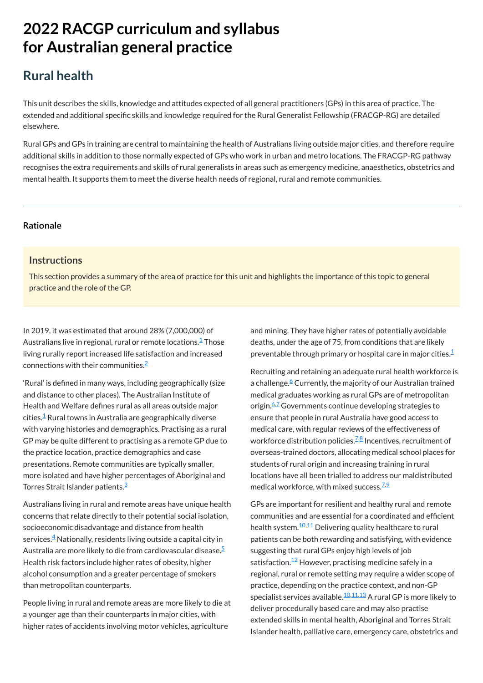# **2022 RACGP curriculum and syllabus for Australian [general practice](https://www.racgp.org.au/Curriculum-and-Syllabus/home)**

# **Rural health**

This unit describes the skills, knowledge and attitudes expected of all general practitioners (GPs) in this area of practice. The extended and additional specific skills and knowledge required for the Rural Generalist Fellowship (FRACGP-RG) are detailed elsewhere.

In 2019, it was estimated that around 28% (7,000,000) of Australians live in regional, rural or remote locations.<sup>1</sup> Those living rurally report increased life satisfaction and increased connections with their communities. $\frac{2}{3}$  $\frac{2}{3}$  $\frac{2}{3}$ 

Rural GPs and GPs in training are central to maintaining the health of Australians living outside major cities, and therefore require additional skills in addition to those normally expected of GPs who work in urban and metro locations. The FRACGP-RG pathway recognises the extra requirements and skills of rural generalists in areas such as emergency medicine, anaesthetics, obstetrics and mental health. It supports them to meet the diverse health needs of regional, rural and remote communities.

#### **[Rationale](javascript:void(0))**

#### **Instructions**

This section provides a summary of the area of practice for this unit and highlights the importance of this topic to general practice and the role of the GP.

> and mining. They have higher rates of potentially avoidable deaths, under the age of 75, from conditions that are likely preventable through primary or hospital care in major cities. $^\mathsf{1}$

Recruiting and retaining an adequate rural health workforce is a challenge.<sup>[6](#page-1-4)</sup> Currently, the majority of our Australian trained medical graduates working as rural GPs are of metropolitan origin.<sup>[6](#page-1-4)[,7](#page-1-5)</sup> Governments continue developing strategies to ensure that people in rural Australia have good access to medical care, with regular reviews of the effectiveness of workforce distribution policies.<sup>Z,[8](#page-1-6)</sup> Incentives, recruitment of overseas-trained doctors, allocating medical school places for students of rural origin and increasing training in rural locations have all been trialled to address our maldistributed medical workforce, with mixed success.<sup>Z,2</sup>

Australians living in rural and remote areas have unique health concerns that relate directly to their potential social isolation,

socioeconomic disadvantage and distance from health services. $\frac{4}{3}$  $\frac{4}{3}$  $\frac{4}{3}$  Nationally, residents living outside a capital city in Australia are more likely to die from cardiovascular disease.<sup>[5](#page-1-3)</sup> Health risk factors include higher rates of obesity, higher alcohol consumption and a greater percentage of smokers than metropolitan counterparts.

People living in rural and remote areas are more likely to die at a younger age than their counterparts in major cities, with higher rates of accidents involving motor vehicles, agriculture

'Rural' is defined in many ways, including geographically (size and distance to other places). The Australian Institute of Health and Welfare defines rural as all areas outside major  $\,$ cities. $^{4}$  Rural towns in Australia are geographically diverse with varying histories and demographics. Practising as a rural GP may be quite different to practising as a remote GP due to the practice location, practice demographics and case presentations. Remote communities are typically smaller, more isolated and have higher percentages of Aboriginal and Torres Strait Islander patients. [3](#page-1-1)

> GPs are important for resilient and healthy rural and remote communities and are essential for a coordinated and efficient health system. $^{10,11}$  $^{10,11}$  $^{10,11}$  $^{10,11}$  $^{10,11}$  Delivering quality healthcare to rural patients can be both rewarding and satisfying, with evidence suggesting that rural GPs enjoy high levels of job satisfaction.<sup>[12](#page-1-10)</sup> However, practising medicine safely in a regional, rural or remote setting may require a wider scope of practice, depending on the practice context, and non-GP specialist services available.<sup>[10](#page-1-8),[11](#page-1-9)[,13](#page-1-11)</sup> A rural GP is more likely to deliver procedurally based care and may also practise extended skills in mental health, Aboriginal and Torres Strait Islander health, palliative care, emergency care, obstetrics and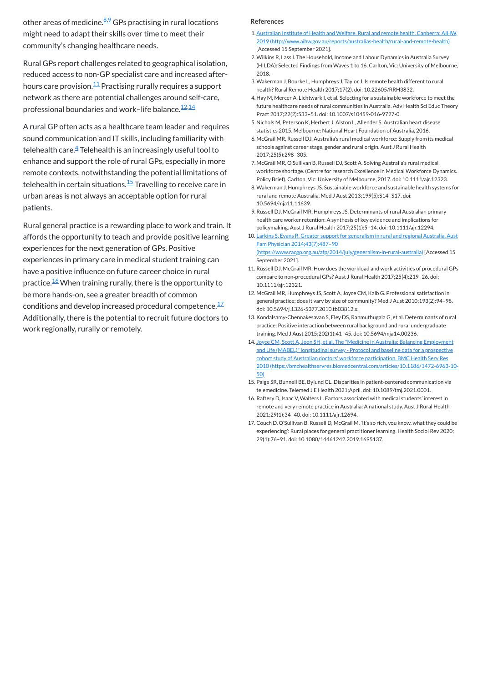other areas of medicine.<sup><u>[8,](#page-1-6)[9](#page-1-7)</u> GPs practising in rural locations</sup> might need to adapt their skills over time to meet their community's changing healthcare needs.

Rural GPs report challenges related to geographical isolation, reduced access to non-GP specialist care and increased after-hours care provision.<sup>[11](#page-1-9)</sup> Practising rurally requires a support network as there are potential challenges around self-care, professional boundaries and work–life balance. $\frac{12,14}{1}$  $\frac{12,14}{1}$  $\frac{12,14}{1}$  $\frac{12,14}{1}$ 

A rural GP often acts as a healthcare team leader and requires sound communication and IT skills, including familiarity with telehealth care. $\frac{4}{ }$  $\frac{4}{ }$  $\frac{4}{ }$  Telehealth is an increasingly useful tool to enhance and support the role of rural GPs, especially in more remote contexts, notwithstanding the potential limitations of telehealth in certain situations.<sup>[15](#page-1-13)</sup> Travelling to receive care in urban areas is not always an acceptable option for rural patients.

Rural general practice is a rewarding place to work and train. It affords the opportunity to teach and provide positive learning experiences for the next generation of GPs. Positive experiences in primary care in medical student training can have a positive influence on future career choice in rural practice.<sup>[16](#page-1-14)</sup> When training rurally, there is the opportunity to be more hands-on, see a greater breadth of common conditions and develop increased procedural competence.<sup>[17](#page-1-15)</sup> Additionally, there is the potential to recruit future doctors to work regionally, rurally or remotely.

#### **References**

- <span id="page-1-0"></span>1.Australian Institute of Health and Welfare. Rural and remote health. Canberra: AIHW, 2019 [\(http://www.aihw.gov.au/reports/australias-health/rural-and-remote-health\)](http://www.aihw.gov.au/reports/australias-health/rural-and-remote-health) [Accessed 15 September 2021].
- <span id="page-1-1"></span>2.Wilkins R, Lass I. The Household, Income and Labour Dynamics in Australia Survey (HILDA): Selected Findings from Waves 1 to 16. Carlton, Vic: University of Melbourne, 2018.
- <span id="page-1-2"></span>3.Wakerman J, Bourke L, Humphreys J, Taylor J. Is remote health different to rural health? Rural Remote Health 2017;17(2). doi: 10.22605/RRH3832.
- <span id="page-1-3"></span>4. Hay M, Mercer A, Lichtwark I, et al. Selecting for a sustainable workforce to meet the future healthcare needs of rural communities in Australia. Adv Health Sci Educ Theory Pract 2017;22(2):533–51. doi: 10.1007/s10459-016-9727-0.
- <span id="page-1-4"></span>5. Nichols M, Peterson K, Herbert J, Alston L, Allender S. Australian heart disease statistics 2015. Melbourne: National Heart Foundation of Australia, 2016.
- <span id="page-1-5"></span>6. McGrail MR, Russell DJ. Australia's rural medical workforce: Supply from its medical schools against career stage, gender and rural origin. Aust J Rural Health 2017;25(5):298–305.
- <span id="page-1-6"></span>7. McGrail MR, O'Sullivan B, Russell DJ, Scott A. Solving Australia's rural medical workforce shortage. (Centre for research Excellence in Medical Workforce Dynamics. Policy Brief). Carlton, Vic: University of Melbourne, 2017. doi: 10.1111/ajr.12323.
- <span id="page-1-7"></span>8.Wakerman J, Humphreys JS. Sustainable workforce and sustainable health systems for rural and remote Australia. Med J Aust 2013;199(5):S14–S17. doi: 10.5694/mja11.11639.
- <span id="page-1-8"></span>9.Russell DJ, McGrail MR, Humphreys JS. Determinants of rural Australian primary health care worker retention: A synthesis of key evidence and implications for policymaking. Aust J Rural Health 2017;25(1):5–14. doi: 10.1111/ajr.12294.
- <span id="page-1-9"></span>10. Larkins S, Evans R. Greater support for generalism in rural and regional Australia. Aust Fam Physician 2014;43(7):487–90 [\(https://www.racgp.org.au/afp/2014/july/generalism-in-rural-australia\)](https://www.racgp.org.au/afp/2014/july/generalism-in-rural-australia) [Accessed 15 September 2021].
- <span id="page-1-10"></span>11. Russell DJ, McGrail MR. How does the workload and work activities of procedural GPs compare to non‐procedural GPs? Aust J Rural Health 2017;25(4):219–26. doi: 10.1111/ajr.12321.
- <span id="page-1-11"></span>12. McGrail MR, Humphreys JS, Scott A, Joyce CM, Kalb G. Professional satisfaction in general practice: does it vary by size of community? Med J Aust 2010;193(2):94–98. doi: 10.5694/j.1326-5377.2010.tb03812.x.
- <span id="page-1-12"></span>13. Kondalsamy-Chennakesavan S, Eley DS, Ranmuthugala G, et al. Determinants of rural practice: Positive interaction between rural background and rural undergraduate training. Med J Aust 2015;202(1):41–45. doi: 10.5694/mja14.00236.
- <span id="page-1-13"></span>14. Joyce CM, Scott A, Jeon SH, et al. The "Medicine in Australia: Balancing Employment and Life (MABEL)" longitudinal survey - Protocol and baseline data for a prospective cohort study of Australian doctors' workforce participation. BMC Health Serv Res 2010 [\(https://bmchealthservres.biomedcentral.com/articles/10.1186/1472-6963-10-](https://bmchealthservres.biomedcentral.com/articles/10.1186/1472-6963-10-50) 50)
- <span id="page-1-14"></span>15. Paige SR, Bunnell BE, Bylund CL. Disparities in patient-centered communication via telemedicine. Telemed J E Health 2021;April. doi: 10.1089/tmj.2021.0001.
- <span id="page-1-15"></span>16. Raftery D, Isaac V, Walters L. Factors associated with medical students' interest in remote and very remote practice in Australia: A national study. Aust J Rural Health 2021;29(1):34–40. doi: 10.1111/ajr.12694.
- 17. Couch D, O'Sullivan B, Russell D, McGrail M. 'It's so rich, you know, what they could be experiencing': Rural places for general practitioner learning. Health Sociol Rev 2020; 29(1):76–91. doi: 10.1080/14461242.2019.1695137.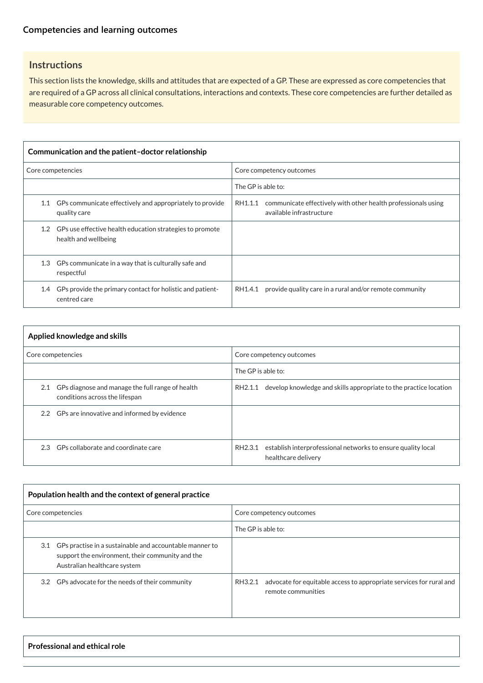# **Instructions**

This section lists the knowledge, skills and attitudes that are expected of a GP. These are expressed as core competencies that are required of a GP across all clinical consultations, interactions and contexts. These core competencies are further detailed as measurable core competency outcomes.

| Communication and the patient-doctor relationship |                                                                                      |                                                                                                      |  |
|---------------------------------------------------|--------------------------------------------------------------------------------------|------------------------------------------------------------------------------------------------------|--|
| Core competencies                                 |                                                                                      | Core competency outcomes                                                                             |  |
|                                                   |                                                                                      | The GP is able to:                                                                                   |  |
| 1.1                                               | GPs communicate effectively and appropriately to provide<br>quality care             | communicate effectively with other health professionals using<br>RH1.1.1<br>available infrastructure |  |
|                                                   | 1.2 GPs use effective health education strategies to promote<br>health and wellbeing |                                                                                                      |  |
|                                                   | 1.3 GPs communicate in a way that is culturally safe and<br>respectful               |                                                                                                      |  |
| 1.4                                               | GPs provide the primary contact for holistic and patient-<br>centred care            | provide quality care in a rural and/or remote community<br>RH1.4.1                                   |  |

| Applied knowledge and skills |                                                                                        |                                                                                                |
|------------------------------|----------------------------------------------------------------------------------------|------------------------------------------------------------------------------------------------|
| Core competencies            |                                                                                        | Core competency outcomes                                                                       |
|                              |                                                                                        | The GP is able to:                                                                             |
|                              | 2.1 GPs diagnose and manage the full range of health<br>conditions across the lifespan | develop knowledge and skills appropriate to the practice location<br>RH2.1.1                   |
|                              | 2.2 GPs are innovative and informed by evidence                                        |                                                                                                |
|                              | 2.3 GPs collaborate and coordinate care                                                | establish interprofessional networks to ensure quality local<br>RH2.3.1<br>healthcare delivery |

| $\parallel$ Population health and the context of general practice |                          |
|-------------------------------------------------------------------|--------------------------|
| Core competencies                                                 | Core competency outcomes |

|                                                                                                                                                 | The GP is able to:                                                                                   |
|-------------------------------------------------------------------------------------------------------------------------------------------------|------------------------------------------------------------------------------------------------------|
| 3.1 GPs practise in a sustainable and accountable manner to<br>support the environment, their community and the<br>Australian healthcare system |                                                                                                      |
| 3.2 GPs advocate for the needs of their community                                                                                               | advocate for equitable access to appropriate services for rural and<br>RH3.2.1<br>remote communities |

**Professional and ethical role**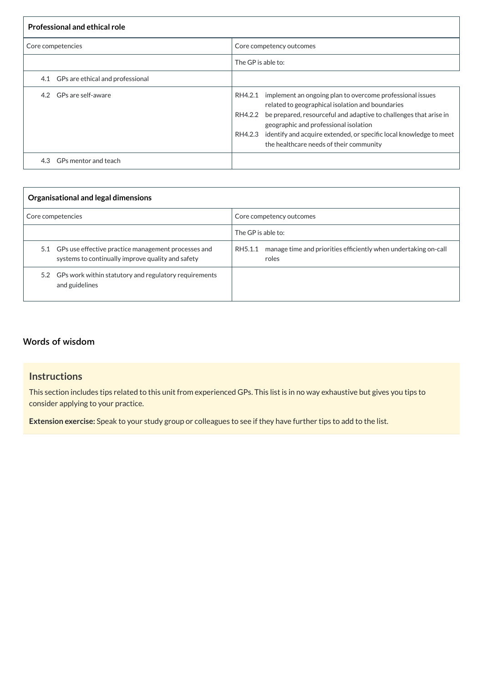| <b>Professional and ethical role</b> |                                                                                                                                                                                                                                                                                                                                                                            |  |
|--------------------------------------|----------------------------------------------------------------------------------------------------------------------------------------------------------------------------------------------------------------------------------------------------------------------------------------------------------------------------------------------------------------------------|--|
| Core competencies                    | Core competency outcomes                                                                                                                                                                                                                                                                                                                                                   |  |
|                                      | The GP is able to:                                                                                                                                                                                                                                                                                                                                                         |  |
| 4.1 GPs are ethical and professional |                                                                                                                                                                                                                                                                                                                                                                            |  |
| GPs are self-aware<br>4.2            | RH4.2.1 implement an ongoing plan to overcome professional issues<br>related to geographical isolation and boundaries<br>be prepared, resourceful and adaptive to challenges that arise in<br>RH4.2.2<br>geographic and professional isolation<br>identify and acquire extended, or specific local knowledge to meet<br>RH4.2.3<br>the healthcare needs of their community |  |
| GPs mentor and teach<br>4.3          |                                                                                                                                                                                                                                                                                                                                                                            |  |

| Organisational and legal dimensions                                                                          |                                                                                     |  |
|--------------------------------------------------------------------------------------------------------------|-------------------------------------------------------------------------------------|--|
| Core competencies                                                                                            | Core competency outcomes                                                            |  |
|                                                                                                              | The GP is able to:                                                                  |  |
| 5.1 GPs use effective practice management processes and<br>systems to continually improve quality and safety | manage time and priorities efficiently when undertaking on-call<br>RH5.1.1<br>roles |  |
| 5.2 GPs work within statutory and regulatory requirements<br>and guidelines                                  |                                                                                     |  |

# **[Words of wisdom](javascript:void(0))**

# **Instructions**

This section includes tips related to this unit from experienced GPs. This list is in no way exhaustive but gives you tips to consider applying to your practice.

**Extension exercise:** Speak to your study group or colleagues to see if they have further tips to add to the list.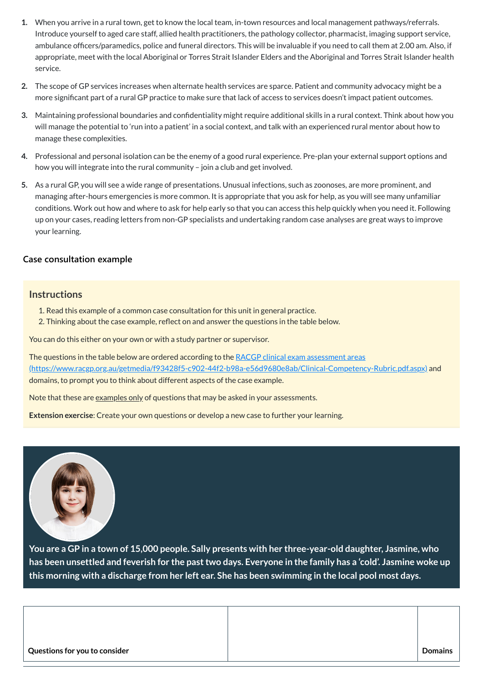- **1.** When you arrive in a rural town, get to know the local team, in-town resources and local management pathways/referrals. Introduce yourself to aged care staff, allied health practitioners, the pathology collector, pharmacist, imaging support service, ambulance officers/paramedics, police and funeral directors. This will be invaluable if you need to call them at 2.00 am. Also, if appropriate, meet with the local Aboriginal or Torres Strait Islander Elders and the Aboriginal and Torres Strait Islander health service.
- **2.** The scope of GP services increases when alternate health services are sparce. Patient and community advocacy might be a more significant part of a rural GP practice to make sure that lack of access to services doesn't impact patient outcomes.
- **3.** Maintaining professional boundaries and confidentiality might require additional skills in a rural context. Think about how you will manage the potential to 'run into a patient' in a social context, and talk with an experienced rural mentor about how to manage these complexities.
- **4.** Professional and personal isolation can be the enemy of a good rural experience. Pre-plan your external support options and how you will integrate into the rural community – join a club and get involved.
- **5.** As a rural GP, you will see a wide range of presentations. Unusual infections, such as zoonoses, are more prominent, and managing after-hours emergencies is more common. It is appropriate that you ask for help, as you will see many unfamiliar conditions. Work out how and where to ask for help early so that you can access this help quickly when you need it. Following up on your cases, reading letters from non-GP specialists and undertaking random case analyses are great ways to improve your learning.

The questions in the table below are ordered according to the RACGP clinical exam assessment areas [\(https://www.racgp.org.au/getmedia/f93428f5-c902-44f2-b98a-e56d9680e8ab/Clinical-Competency-Rubric.pdf.aspx\)](https://www.racgp.org.au/getmedia/f93428f5-c902-44f2-b98a-e56d9680e8ab/Clinical-Competency-Rubric.pdf.aspx) and domains, to prompt you to think about different aspects of the case example.

Note that these are examples only of questions that may be asked in your assessments.

**You are a GP in a town of 15,000 people. Sally presents with her three-year-old daughter, Jasmine, who** has been unsettled and feverish for the past two days. Everyone in the family has a 'cold'. Jasmine woke up this morning with a discharge from her left ear. She has been swimming in the local pool most days.

### **[Case consultation example](javascript:void(0))**

#### **Instructions**

- 1. Read this example of a common case consultation for this unit in general practice.
- 2. Thinking about the case example, reflect on and answer the questions in the table below.

You can do this either on your own or with a study partner or supervisor.

**Extension exercise**: Create your own questions or develop a new case to further your learning.



| Questions for you to consider | <b>Domains</b> |
|-------------------------------|----------------|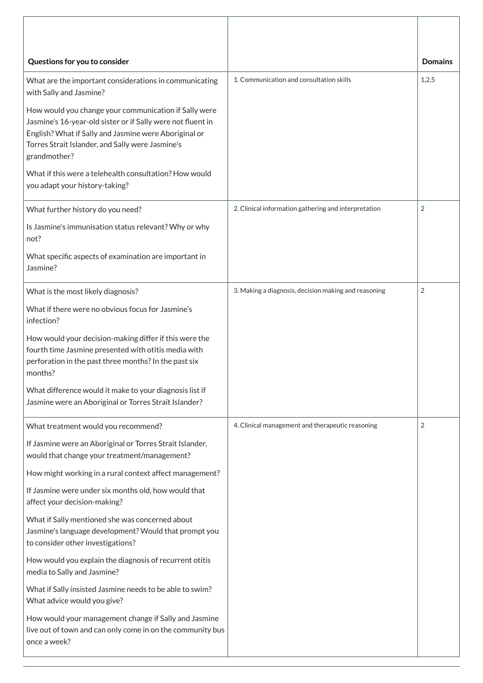| Questions for you to consider                                                                                                                                                                                                                     |                                                      | <b>Domains</b> |
|---------------------------------------------------------------------------------------------------------------------------------------------------------------------------------------------------------------------------------------------------|------------------------------------------------------|----------------|
| What are the important considerations in communicating<br>with Sally and Jasmine?                                                                                                                                                                 | 1. Communication and consultation skills             | 1,2,5          |
| How would you change your communication if Sally were<br>Jasmine's 16-year-old sister or if Sally were not fluent in<br>English? What if Sally and Jasmine were Aboriginal or<br>Torres Strait Islander, and Sally were Jasmine's<br>grandmother? |                                                      |                |
| What if this were a telehealth consultation? How would<br>you adapt your history-taking?                                                                                                                                                          |                                                      |                |
| What further history do you need?                                                                                                                                                                                                                 | 2. Clinical information gathering and interpretation | $\overline{2}$ |
| Is Jasmine's immunisation status relevant? Why or why<br>not?                                                                                                                                                                                     |                                                      |                |
| What specific aspects of examination are important in<br>Jasmine?                                                                                                                                                                                 |                                                      |                |
| What is the most likely diagnosis?                                                                                                                                                                                                                | 3. Making a diagnosis, decision making and reasoning | $\overline{2}$ |
| What if there were no obvious focus for Jasmine's<br>infection?                                                                                                                                                                                   |                                                      |                |
| How would your decision-making differ if this were the<br>fourth time Jasmine presented with otitis media with<br>perforation in the past three months? In the past six<br>months?                                                                |                                                      |                |
| What difference would it make to your diagnosis list if<br>Jasmine were an Aboriginal or Torres Strait Islander?                                                                                                                                  |                                                      |                |
| What treatment would you recommend?                                                                                                                                                                                                               | 4. Clinical management and therapeutic reasoning     | $\overline{2}$ |
| If Jasmine were an Aboriginal or Torres Strait Islander,<br>would that change your treatment/management?                                                                                                                                          |                                                      |                |
| How might working in a rural context affect management?                                                                                                                                                                                           |                                                      |                |
| If Jasmine were under six months old, how would that<br>affect your decision-making?                                                                                                                                                              |                                                      |                |

What if Sally mentioned she was concerned about Jasmine's language development? Would that prompt you to consider other investigations?

How would you explain the diagnosis of recurrent otitis media to Sally and Jasmine?

What if Sally insisted Jasmine needs to be able to swim? What advice would you give?

How would your management change if Sally and Jasmine live out of town and can only come in on the community bus once a week?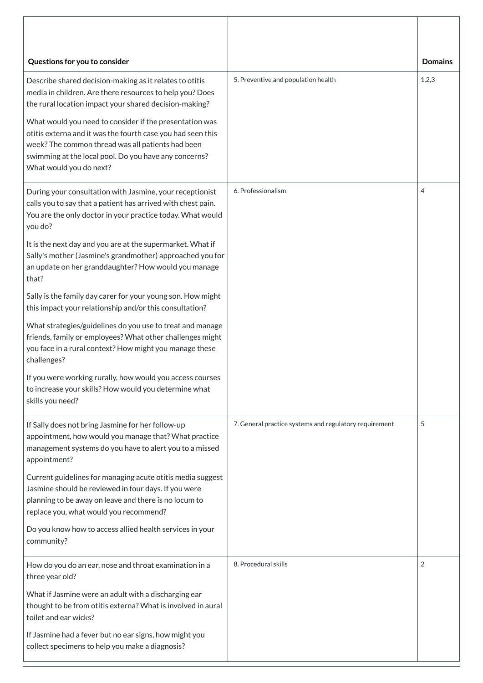| Questions for you to consider                                                                                                                                                                                                                                                                                                                                                                                                                    |                                                        | <b>Domains</b> |
|--------------------------------------------------------------------------------------------------------------------------------------------------------------------------------------------------------------------------------------------------------------------------------------------------------------------------------------------------------------------------------------------------------------------------------------------------|--------------------------------------------------------|----------------|
| Describe shared decision-making as it relates to otitis<br>media in children. Are there resources to help you? Does<br>the rural location impact your shared decision-making?<br>What would you need to consider if the presentation was<br>otitis externa and it was the fourth case you had seen this<br>week? The common thread was all patients had been<br>swimming at the local pool. Do you have any concerns?<br>What would you do next? | 5. Preventive and population health                    | 1,2,3          |
| During your consultation with Jasmine, your receptionist<br>calls you to say that a patient has arrived with chest pain.<br>You are the only doctor in your practice today. What would<br>you do?                                                                                                                                                                                                                                                | 6. Professionalism                                     | 4              |
| It is the next day and you are at the supermarket. What if<br>Sally's mother (Jasmine's grandmother) approached you for<br>an update on her granddaughter? How would you manage<br>that?                                                                                                                                                                                                                                                         |                                                        |                |
| Sally is the family day carer for your young son. How might<br>this impact your relationship and/or this consultation?                                                                                                                                                                                                                                                                                                                           |                                                        |                |
| What strategies/guidelines do you use to treat and manage<br>friends, family or employees? What other challenges might<br>you face in a rural context? How might you manage these<br>challenges?                                                                                                                                                                                                                                                 |                                                        |                |
| If you were working rurally, how would you access courses<br>to increase your skills? How would you determine what<br>skills you need?                                                                                                                                                                                                                                                                                                           |                                                        |                |
| If Sally does not bring Jasmine for her follow-up<br>appointment, how would you manage that? What practice<br>management systems do you have to alert you to a missed<br>appointment?                                                                                                                                                                                                                                                            | 7. General practice systems and regulatory requirement | 5              |
| Current guidelines for managing acute otitis media suggest<br>Jasmine should be reviewed in four days. If you were<br>planning to be away on leave and there is no locum to<br>replace you, what would you recommend?                                                                                                                                                                                                                            |                                                        |                |

| Do you know how to access allied health services in your<br>community?                                                                        |                      |  |
|-----------------------------------------------------------------------------------------------------------------------------------------------|----------------------|--|
| How do you do an ear, nose and throat examination in a<br>three year old?                                                                     | 8. Procedural skills |  |
| What if Jasmine were an adult with a discharging ear<br>thought to be from otitis externa? What is involved in aural<br>toilet and ear wicks? |                      |  |
| If Jasmine had a fever but no ear signs, how might you<br>collect specimens to help you make a diagnosis?                                     |                      |  |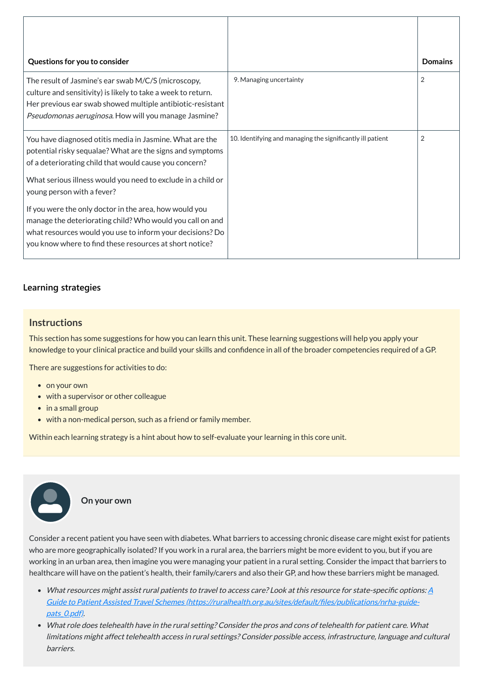| Questions for you to consider                                                                                                                                                                                                               |                                                            | <b>Domains</b> |
|---------------------------------------------------------------------------------------------------------------------------------------------------------------------------------------------------------------------------------------------|------------------------------------------------------------|----------------|
| The result of Jasmine's ear swab M/C/S (microscopy,<br>culture and sensitivity) is likely to take a week to return.<br>Her previous ear swab showed multiple antibiotic-resistant<br>Pseudomonas aeruginosa. How will you manage Jasmine?   | 9. Managing uncertainty                                    | $\overline{2}$ |
| You have diagnosed otitis media in Jasmine. What are the<br>potential risky sequalae? What are the signs and symptoms<br>of a deteriorating child that would cause you concern?                                                             | 10. Identifying and managing the significantly ill patient | $\overline{2}$ |
| What serious illness would you need to exclude in a child or<br>young person with a fever?                                                                                                                                                  |                                                            |                |
| If you were the only doctor in the area, how would you<br>manage the deteriorating child? Who would you call on and<br>what resources would you use to inform your decisions? Do<br>you know where to find these resources at short notice? |                                                            |                |

# **[Learning strategies](javascript:void(0))**

# **Instructions**

This section has some suggestions for how you can learn this unit. These learning suggestions will help you apply your knowledge to your clinical practice and build your skills and confidence in all of the broader competencies required of a GP.

- What resources might assist rural patients to travel to access care? Look at this resource for state-specific options:  $\underline{A}$ Guide to Patient Assisted Travel Schemes [\(https://ruralhealth.org.au/sites/default/files/publications/nrha-guide](https://ruralhealth.org.au/sites/default/files/publications/nrha-guide-pats_0.pdf)pats\_0.pdf).
- What role does telehealth have in the rural setting? Consider the pros and cons of telehealth for patient care. What limitations might affect telehealth access in rural settings? Consider possible access, infrastructure, language and cultural barriers.

There are suggestions for activities to do:

- on your own
- with a supervisor or other colleague
- in a small group
- with a non-medical person, such as a friend or family member.

Within each learning strategy is a hint about how to self-evaluate your learning in this core unit.

Consider a recent patient you have seen with diabetes. What barriers to accessing chronic disease care might exist for patients who are more geographically isolated? If you work in a rural area, the barriers might be more evident to you, but if you are working in an urban area, then imagine you were managing your patient in a rural setting. Consider the impact that barriers to healthcare will have on the patient's health, their family/carers and also their GP, and how these barriers might be managed.

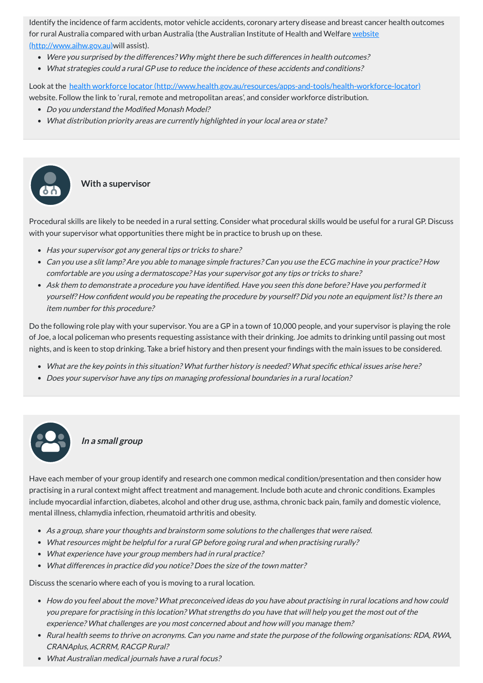Identify the incidence of farm accidents, motor vehicle accidents, coronary artery disease and breast cancer health outcomes for rural Australia compared with urban Australia (the Australian Institute of Health and Welfare website [\(http://www.aihw.gov.au\)will](http://www.aihw.gov.au/) assist).

Look at the health workforce locator [\(http://www.health.gov.au/resources/apps-and-tools/health-workforce-locator\)](http://www.health.gov.au/resources/apps-and-tools/health-workforce-locator) website. Follow the link to 'rural, remote and metropolitan areas', and consider workforce distribution.

- Were you surprised by the differences? Why might there be such differences in health outcomes?
- What strategies could <sup>a</sup> rural GP use to reduce the incidence of these accidents and conditions?

- Do you understand the Modified Monash Model?
- What distribution priority areas are currently highlighted in your local area or state?

- Has your supervisor got any general tips or tricks to share?
- Can you use <sup>a</sup> slit lamp? Are you able to manage simple fractures? Can you use the ECG machine in your practice? How comfortable are you using <sup>a</sup> dermatoscope? Has your supervisor got any tips or tricks to share?
- Ask them to demonstrate <sup>a</sup> procedure you have identified. Have you seen this done before? Have you performed it yourself? How confident would you be repeating the procedure by yourself? Did you note an equipment list? Is there an item number for this procedure?

# **With a supervisor**

Procedural skills are likely to be needed in a rural setting. Consider what procedural skills would be useful for a rural GP. Discuss with your supervisor what opportunities there might be in practice to brush up on these.

Do the following role play with your supervisor. You are a GP in a town of 10,000 people, and your supervisor is playing the role of Joe, a local policeman who presents requesting assistance with their drinking. Joe admits to drinking until passing out most nights, and is keen to stop drinking. Take a brief history and then present your findings with the main issues to be considered.

- What are the key points in this situation? What further history is needed? What specific ethical issues arise here?
- Does your supervisor have any tips on managing professional boundaries in <sup>a</sup> rural location?



**In <sup>a</sup> small group**

Have each member of your group identify and research one common medical condition/presentation and then consider how practising in a rural context might affect treatment and management. Include both acute and chronic conditions. Examples include myocardial infarction, diabetes, alcohol and other drug use, asthma, chronic back pain, family and domestic violence, mental illness, chlamydia infection, rheumatoid arthritis and obesity.

- As <sup>a</sup> group, share your thoughts and brainstorm some solutions to the challenges that were raised.
- What resources might be helpful for <sup>a</sup> rural GP before going rural and when practising rurally?
- What experience have your group members had in rural practice?
- What differences in practice did you notice? Does the size of the town matter?

Discuss the scenario where each of you is moving to a rural location.

- How do you feel about the move? What preconceived ideas do you have about practising in rural locations and how could you prepare for practising in this location? What strengths do you have that will help you get the most out of the experience? What challenges are you most concerned about and how will you manage them?
- Rural health seems to thrive on acronyms. Can you name and state the purpose of the following organisations: RDA, RWA, CRANAplus, ACRRM, RACGP Rural?
- What Australian medical journals have <sup>a</sup> rural focus?

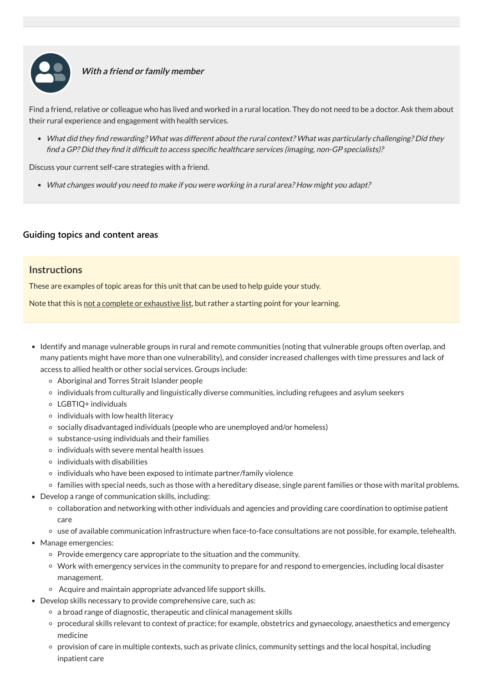

#### **With <sup>a</sup> friend or family member**

Find a friend, relative or colleague who has lived and worked in a rural location. They do not need to be a doctor. Ask them about their rural experience and engagement with health services.

What did they find rewarding? What was different about the rural context? What was particularly challenging? Did they find <sup>a</sup> GP? Did they find it difficult to access specific healthcare services (imaging, non-GP specialists)?

Discuss your current self-care strategies with a friend.

What changes would you need to make if you were working in <sup>a</sup> rural area? How might you adapt?

#### **[Guiding topics and content areas](javascript:void(0))**

#### **Instructions**

These are examples of topic areas for this unit that can be used to help guide your study.

Note that this is not a complete or exhaustive list, but rather a starting point for your learning.

- Identify and manage vulnerable groups in rural and remote communities (noting that vulnerable groups often overlap, and many patients might have more than one vulnerability), and consider increased challenges with time pressures and lack of access to allied health or other social services. Groups include:
	- Aboriginal and Torres Strait Islander people
	- individuals from culturally and linguistically diverse communities, including refugees and asylum seekers
	- LGBTIQ+ individuals
	- $\circ$  individuals with low health literacy
	- socially disadvantaged individuals (people who are unemployed and/or homeless)
	- $\circ$  substance-using individuals and their families
	- $\circ$  individuals with severe mental health issues
	- $\circ$  individuals with disabilities
	- $\circ$  individuals who have been exposed to intimate partner/family violence
	- families with special needs, such as those with a hereditary disease, single parent families or those with marital problems.
- Develop a range of communication skills, including:
	- collaboration and networking with other individuals and agencies and providing care coordination to optimise patient

care

- use of available communication infrastructure when face-to-face consultations are not possible, for example, telehealth.
- Manage emergencies:
	- $\circ$  Provide emergency care appropriate to the situation and the community.
	- Work with emergency services in the community to prepare for and respond to emergencies, including local disaster management.
	- Acquire and maintain appropriate advanced life support skills.
- Develop skills necessary to provide comprehensive care, such as:
	- a broad range of diagnostic, therapeutic and clinical management skills
	- procedural skills relevant to context of practice; for example, obstetrics and gynaecology, anaesthetics and emergency medicine
	- provision of care in multiple contexts, such as private clinics, community settings and the local hospital, including inpatient care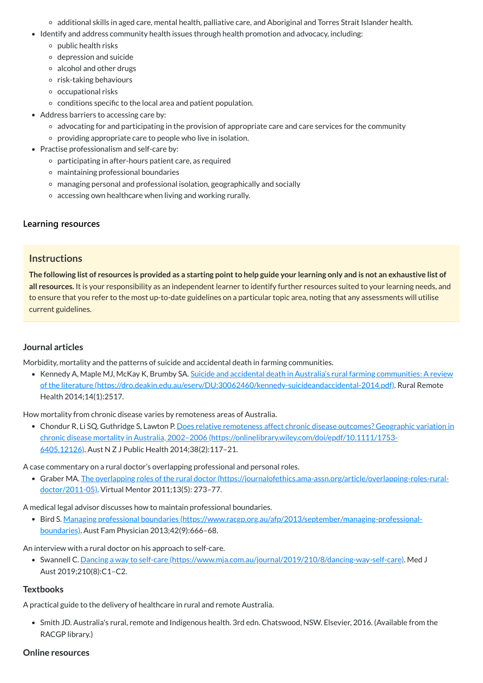- additional skills in aged care, mental health, palliative care, and Aboriginal and Torres Strait Islander health.
- Identify and address community health issues through health promotion and advocacy, including:
	- $\circ$  public health risks
	- depression and suicide
	- $\circ$  alcohol and other drugs
	- $\circ$  risk-taking behaviours
	- $\circ$  occupational risks
	- $\circ$  conditions specific to the local area and patient population.
- Address barriers to accessing care by:
	- advocating for and participating in the provision of appropriate care and care services for the community
	- $\circ$  providing appropriate care to people who live in isolation.
- Practise professionalism and self-care by:
	- participating in after-hours patient care, as required
	- maintaining professional boundaries
	- managing personal and professional isolation, geographically and socially
	- accessing own healthcare when living and working rurally.

The following list of resources is provided as a starting point to help guide your learning only and is not an exhaustive list of **all resources.** It is your responsibility as an independent learner to identify further resources suited to your learning needs, and to ensure that you refer to the most up-to-date guidelines on a particular topic area, noting that any assessments will utilise current guidelines.

• Kennedy A, Maple MJ, McKay K, Brumby SA. Suicide and accidental death in Australia's rural farming communities: A review of the literature [\(https://dro.deakin.edu.au/eserv/DU:30062460/kennedy-suicideandaccidental-2014.pdf\).](https://dro.deakin.edu.au/eserv/DU:30062460/kennedy-suicideandaccidental-2014.pdf) Rural Remote Health 2014;14(1):2517.

# **[Learning resources](javascript:void(0))**

# **Instructions**

• Chondur R, Li SQ, Guthridge S, Lawton P. Does relative remoteness affect chronic disease outcomes? Geographic variation in chronic disease mortality in Australia, 2002–2006 [\(https://onlinelibrary.wiley.com/doi/epdf/10.1111/1753-](https://onlinelibrary.wiley.com/doi/epdf/10.1111/1753-6405.12126) 6405.12126). Aust N Z J Public Health 2014;38(2):117–21.

# **Journal articles**

• Swannell C. Dancing a way to self-care [\(https://www.mja.com.au/journal/2019/210/8/dancing-way-self-care\)](https://www.mja.com.au/journal/2019/210/8/dancing-way-self-care). Med J Aust 2019;210(8):C1–C2.

Morbidity, mortality and the patterns of suicide and accidental death in farming communities.

How mortality from chronic disease varies by remoteness areas of Australia.

A case commentary on a rural doctor's overlapping professional and personal roles.

Graber MA. The overlapping roles of the rural doctor [\(https://journalofethics.ama-assn.org/article/overlapping-roles-rural](https://journalofethics.ama-assn.org/article/overlapping-roles-rural-doctor/2011-05)doctor/2011-05). Virtual Mentor 2011;13(5): 273–77.

A medical legal advisor discusses how to maintain professional boundaries.

Bird S. Managing professional boundaries [\(https://www.racgp.org.au/afp/2013/september/managing-professional](https://www.racgp.org.au/afp/2013/september/managing-professional-boundaries)boundaries). Aust Fam Physician 2013;42(9):666–68.

An interview with a rural doctor on his approach to self-care.

#### **Textbooks**

A practical guide to the delivery of healthcare in rural and remote Australia.

Smith JD. Australia's rural, remote and Indigenous health. 3rd edn. Chatswood, NSW. Elsevier, 2016. (Available from the RACGP library.)

#### **Online resources**